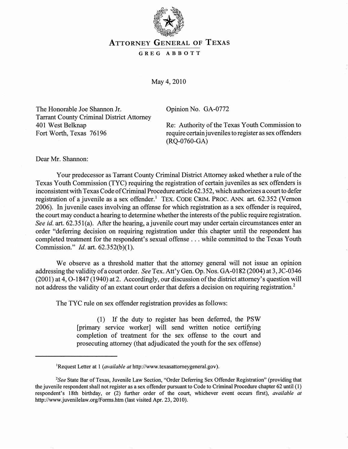

# **ATTORNEY GENERAL OF TEXAS**

## GREG ABBOTT

May 4, 2010

The Honorable Joe Shannon Jr. Tarrant County Criminal District Attorney 401 West Belknap Fort Worth, Texas 76196

Opinion No. GA-0772

Re: Authority of the Texas Youth Commission to require certain juveniles to register as sex offenders (RQ-0760-GA)

Dear Mr. Shannon:

Your predecessor as Tarrant County Criminal District Attorney asked whether a rule of the Texas Youth Commission (TYC) requiring the registration of certain juveniles as sex offenders is inconsistent with Texas Code of Criminal Procedure article 62.352, which authorizes a court to defer registration of a juvenile as a sex offender.<sup>1</sup> TEX. CODE CRIM. PROC. ANN. art. 62.352 (Vernon 2006). In juvenile cases involving an offense for which registration as a sex offender is required, the court may conduct a hearing to determine whether the interests of the public require registration. *See id.* art. 62.351(a). After the hearing, a juvenile court may under certain circumstances enter an order "deferring decision on requiring registration under this chapter until the respondent has completed treatment for the respondent's sexual offense ... while committed to the Texas Youth Commission." *Id.* art. 62.352(b)(1).

We observe as a threshold matter that the attorney general will not issue an opinion addressing the validity of a court order. *See* Tex. Att 'y Gen. Op. Nos. GA -0182 (2004) at 3, JC-0346 (2001) at 4,0-1847 (1940) at 2. Accordingly, our discussion of the district attorney's question will not address the validity of an extant court order that defers a decision on requiring registration.<sup>2</sup>

The TYC rule on sex offender registration provides as follows:

(1) If the duty to register has been deferred, the PSW [primary service worker] will send written notice certifying completion of treatment for the sex offense to the court and prosecuting attorney (that adjudicated the youth for the sex offense)

<sup>&</sup>lt;sup>1</sup>Request Letter at 1 *(available at* http://www.texasattorneygeneral.gov).

*<sup>2</sup>See* State Bar of Texas, Juvenile Law Section, "Order Deferring Sex Offender Registration" (providing that the juvenile respondent shall not register as a sex offender pursuant to Code to Criminal Procedure chapter 62 until (1) respondent's 18th birthday, or (2) further order of the court, whichever event occurs first), *available at*  http://www.juvenilelaw.org/Fonns.htm (last visited Apr. 23, 2010).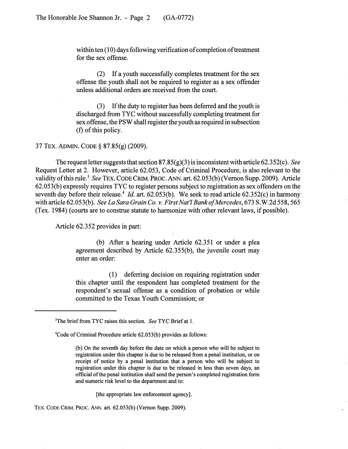within ten (10) days following verification of completion of treatment for the sex offense.

(2) If a youth successfully completes treatment for the sex offense the youth shall not be required to register as a sex offender unless additional orders are received from the court.

If the duty to register has been deferred and the youth is discharged from TYC without successfully completing treatment for sex offense, the PSW shall register the youth as required in subsection (f) of this policy.

#### 37 TEx. ADMIN. CODE § 87.85(g) (2009).

The request letter suggests that section 87.85(g)(3) is inconsistent with article 62.352( c). *See*  Request Letter at 2. However, article 62.053, Code of Criminal Procedure, is also relevant to the validity of this rule.<sup>3</sup> See TEX. CODE CRIM. PROC. ANN. art. 62.053(b) (Vernon Supp. 2009). Article 62.053(b) expressly requires Tye to register persons subject to registration as sex offenders on the seventh day before their release.<sup>4</sup> *Id.* art. 62.053(b). We seek to read article 62.352(c) in harmony with article 62.053(b). *See La Sara Grain Co. v. First Nat'l Bank of Mercedes*, 673 S.W.2d 558, 565 (Tex. 1984) (courts are to construe statute to harmonize with other relevant laws, if possible).

Article 62.352 provides in part:

(b) After a hearing under Article 62.351 or under a plea agreement described by Article 62.355(b), the juvenile court may enter an order:

(1) deferring decision on requiring registration under this chapter until the respondent has completed treatment for the respondent's sexual offense as a condition of probation or while committed to the Texas Youth Commission; or

4Code of Criminal Procedure article 62.053(b) provides as follows:

(b) On the seventh day before the date on which a person who will be subject to registration under this chapter is due to be released from a penal institution, or on receipt of notice by a penal institution that a person who will be subject to registration under this chapter is due to be released in less than seven days, an official of the penal institution shall send the person's completed registration form and numeric risk level to the department and to:

[the appropriate law enforcement agency].

TEx. CODECRIM. PROC. ANN. art. 62.053(b) (Vernon Supp. 2009).

<sup>3</sup>The brief from TYC raises this section. *See* TYC Briefat 1.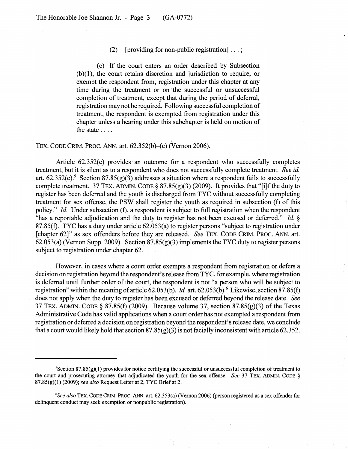#### (2) [providing for non-public registration]  $\dots$ ;

(c) If the court enters an order described by Subsection (b )(1), the court retains discretion and jurisdiction to require, or exempt the respondent from, registration under this chapter at any time during the treatment or on 'the successful or unsuccessful completion of treatment, except that during the period of deferral, registration may not be required. Following successful completion of treatment, the respondent is exempted from registration under this chapter unless a hearing under this subchapter is held on motion of the state ....

TEx. CODE CRIM. PROC. ANN. art. 62.352(b)-{c) (Vernon 2006).

Article 62.352(c) provides an outcome for a respondent who successfully completes treatment, but it is silent as to a respondent who does not successfully complete treatment. *See id*  art.  $62.352(c)$ .<sup>5</sup> Section  $87.85(g)(3)$  addresses a situation where a respondent fails to successfully complete treatment. 37 TEX. ADMIN. CODE §  $87.85(g)(3)$  (2009). It provides that "[i]f the duty to register has been deferred and the youth is discharged from TYC without successfully completing treatment for sex offense, the PSW shall register the youth as required in subsection (f) of this policy." *Id.* Under subsection (f), a respondent is subject to full registration when the respondent "has a reportable adjudication and the duty to register has not been excused or deferred." *Id.* § 87.85(t). TYC has a duty under article 62.053(a) to register persons "subject to registration under [chapter 62]" as sex offenders before they are released. *See* TEx. CODE CRIM. PROC. ANN. art. 62.053(a) (Vernon Supp. 2009). Section 87.85(g)(3) implements the TYC duty to register persons subject to registration under chapter 62.

However, in cases where a court order exempts a respondent from registration or defers a decision on registration beyond the respondent's release from TYC, for example, where registration is deferred until further order of the court, the respondent is not "a person who will be subject to registration" within the meaning of article 62.053(b). *Id.* art. 62.053(b).<sup>6</sup> Likewise, section 87.85(f) does not apply when the duty to register has been excused or deferred beyond the release date. *See*  37 TEx. ADMIN. CODE § 87.85(t) (2009). Because volume 37, section 87.85(g)(3) of the Texas Administrative Code has valid applications when a court order has not exempted a respondent from registration or deferred a decision on registration beyond the respondent's release date, we conclude that a court would likely hold that section  $87.85(g)(3)$  is not facially inconsistent with article 62.352.

 ${}^{5}$ Section 87.85(g)(1) provides for notice certifying the successful or unsuccessful completion of treatment to the court and prosecuting attorney that adjudicated the youth for the sex offense. *See* 37 TEX. ADMIN. CODE § 87 .85 (g)(1 ) (2009); *see also* Request Letter at 2, TYC Brief at 2.

<sup>&</sup>lt;sup>6</sup>See also TEX. CODE CRIM. PROC. ANN. art. 62.353(a) (Vernon 2006) (person registered as a sex offender for delinquent conduct may seek exemption or nonpublic registration).